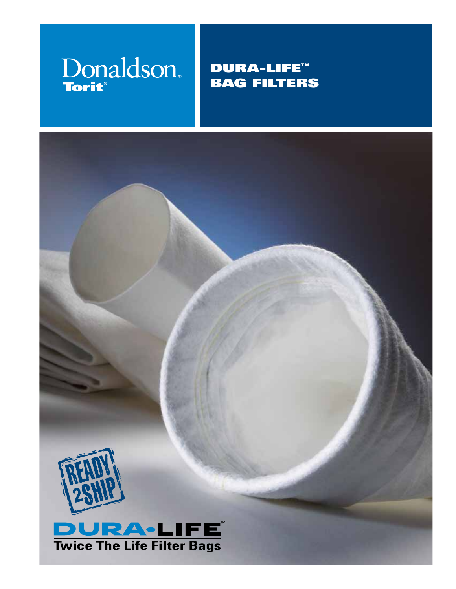# Donaldson.

## Dura-Life™ Bag filters



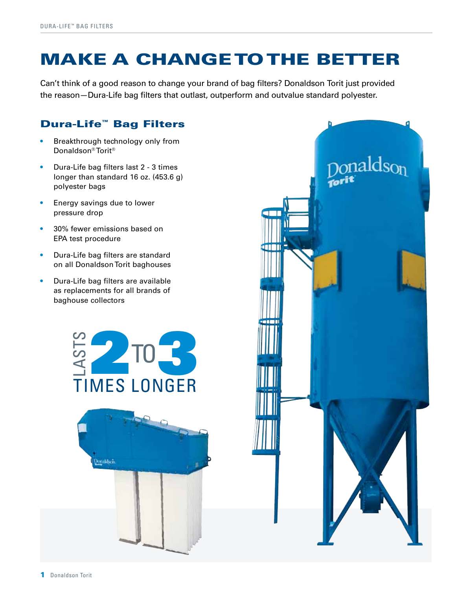# Make a change to the better

Can't think of a good reason to change your brand of bag filters? Donaldson Torit just provided the reason—Dura-Life bag filters that outlast, outperform and outvalue standard polyester.

#### Dura-Life™ Bag Filters

- Breakthrough technology only from Donaldson® Torit®
- • Dura-Life bag filters last 2 3 times longer than standard 16 oz. (453.6 g) polyester bags
- Energy savings due to lower pressure drop
- 30% fewer emissions based on EPA test procedure
- Dura-Life bag filters are standard on all Donaldson Torit baghouses
- • Dura-Life bag filters are available as replacements for all brands of baghouse collectors

**Donaldscin** 



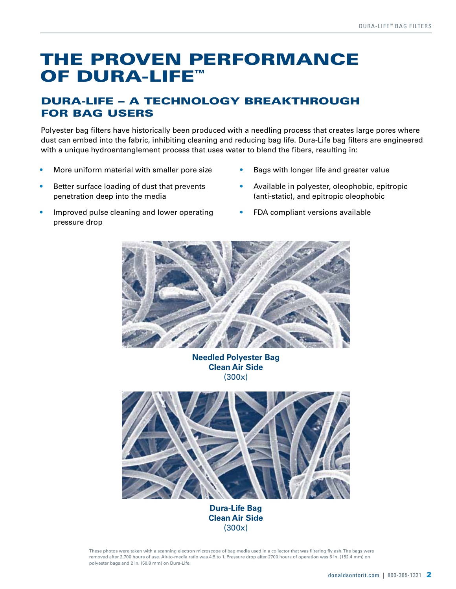# The proven performance OF DURA-LIFE™

#### Dura-Life – A technology breakthrough for bag users

Polyester bag filters have historically been produced with a needling process that creates large pores where dust can embed into the fabric, inhibiting cleaning and reducing bag life. Dura-Life bag filters are engineered with a unique hydroentanglement process that uses water to blend the fibers, resulting in:

- More uniform material with smaller pore size
- Better surface loading of dust that prevents penetration deep into the media
- Improved pulse cleaning and lower operating pressure drop
- • Bags with longer life and greater value
- Available in polyester, oleophobic, epitropic (anti-static), and epitropic oleophobic
- FDA compliant versions available



**Needled Polyester Bag Clean Air Side** (300x)



**Dura-Life Bag Clean Air Side** (300x)

These photos were taken with a scanning electron microscope of bag media used in a collector that was filtering fly ash. The bags were removed after 2,700 hours of use. Air-to-media ratio was 4.5 to 1. Pressure drop after 2700 hours of operation was 6 in. (152.4 mm) on polyester bags and 2 in. (50.8 mm) on Dura-Life.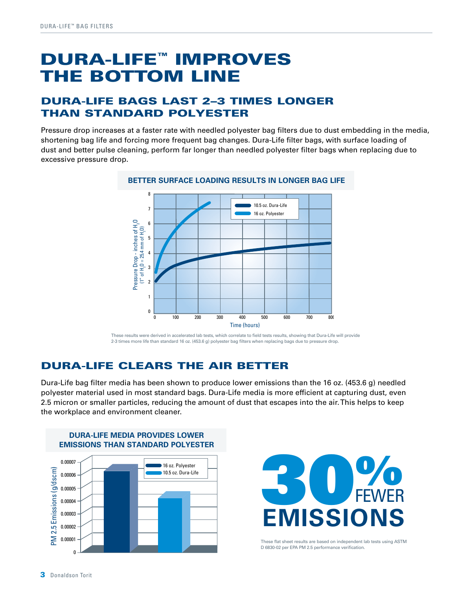# Dura-Life™ improves the bottom line

#### Dura-Life Bags last 2–3 times longer than standard polyester

Pressure drop increases at a faster rate with needled polyester bag filters due to dust embedding in the media, shortening bag life and forcing more frequent bag changes. Dura-Life filter bags, with surface loading of dust and better pulse cleaning, perform far longer than needled polyester filter bags when replacing due to excessive pressure drop.



These results were derived in accelerated lab tests, which correlate to field tests results, showing that Dura-Life will provide

2-3 times more life than standard 16 oz. (453.6 g) polyester bag filters when replacing bags due to pressure drop.

#### Dura-Life clears the air better

Dura-Life bag filter media has been shown to produce lower emissions than the 16 oz. (453.6 g) needled polyester material used in most standard bags. Dura-Life media is more efficient at capturing dust, even 2.5 micron or smaller particles, reducing the amount of dust that escapes into the air. This helps to keep the workplace and environment cleaner.





These flat sheet results are based on independent lab tests using ASTM D 6830-02 per EPA PM 2.5 performance verification.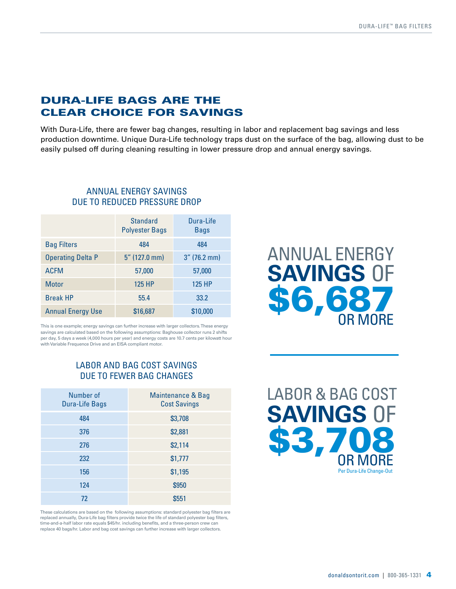#### Dura-Life bags are the clear choice for savings

With Dura-Life, there are fewer bag changes, resulting in labor and replacement bag savings and less production downtime. Unique Dura-Life technology traps dust on the surface of the bag, allowing dust to be easily pulsed off during cleaning resulting in lower pressure drop and annual energy savings.

|                          | <b>Standard</b><br><b>Polyester Bags</b> | Dura-Life<br><b>Bags</b> |
|--------------------------|------------------------------------------|--------------------------|
| <b>Bag Filters</b>       | 484                                      | 484                      |
| <b>Operating Delta P</b> | $5''$ (127.0 mm)                         | $3''$ (76.2 mm)          |
| <b>ACFM</b>              | 57,000                                   | 57,000                   |
| <b>Motor</b>             | <b>125 HP</b>                            | 125 HP                   |
| <b>Break HP</b>          | 55.4                                     | 33.2                     |
| <b>Annual Energy Use</b> | \$16,687                                 | \$10,000                 |

Annual Energy Savings Due to Reduced Pressure Drop

This is one example; energy savings can further increase with larger collectors. These energy savings are calculated based on the following assumptions: Baghouse collector runs 2 shifts per day, 5 days a week (4,000 hours per year) and energy costs are 10.7 cents per kilowatt hour with Variable Frequence Drive and an EISA compliant motor.

#### Labor and Bag Cost Savings Due to Fewer Bag Changes

| Number of<br><b>Dura-Life Bags</b> | Maintenance & Bag<br><b>Cost Savings</b> |
|------------------------------------|------------------------------------------|
| 484                                | \$3,708                                  |
| 376                                | \$2,881                                  |
| 276                                | \$2,114                                  |
| 232                                | \$1,777                                  |
| 156                                | \$1,195                                  |
| 124                                | \$950                                    |
| 72                                 | \$551                                    |

These calculations are based on the following assumptions: standard polyester bag filters are replaced annually, Dura-Life bag filters provide twice the life of standard polyester bag filters, time-and-a-half labor rate equals \$45/hr. including benefits, and a three-person crew can replace 40 bags/hr. Labor and bag cost savings can further increase with larger collectors.

# Annual energy **Savings** of 6,687

Labor & bag cost **Savings** of \$3,708 Per Dura-Life Change-Out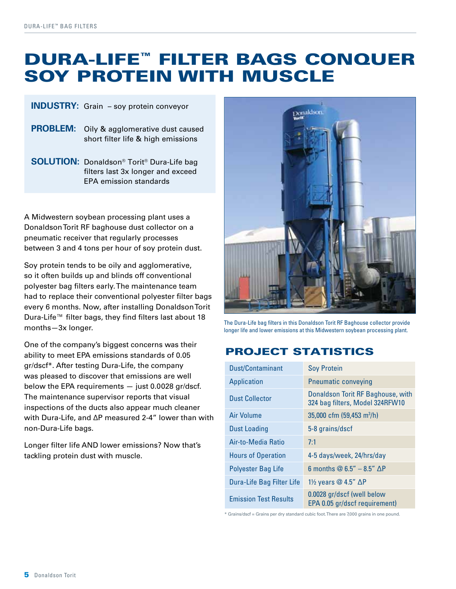# DURA-LIFE™ FILTER BAGS CONQUER SOY PROTEIN WITH MUSCLE

#### **INDUSTRY:** Grain – soy protein conveyor

- **PROBLEM:** Oily & agglomerative dust caused short filter life & high emissions
- **SOLUTION:** Donaldson® Torit® Dura-Life bag filters last 3x longer and exceed EPA emission standards

A Midwestern soybean processing plant uses a Donaldson Torit RF baghouse dust collector on a pneumatic receiver that regularly processes between 3 and 4 tons per hour of soy protein dust.

Soy protein tends to be oily and agglomerative, so it often builds up and blinds off conventional polyester bag filters early. The maintenance team had to replace their conventional polyester filter bags every 6 months. Now, after installing Donaldson Torit Dura-Life™ filter bags, they find filters last about 18 months—3x longer.

One of the company's biggest concerns was their ability to meet EPA emissions standards of 0.05 gr/dscf\*. After testing Dura-Life, the company was pleased to discover that emissions are well below the EPA requirements — just 0.0028 gr/dscf. The maintenance supervisor reports that visual inspections of the ducts also appear much cleaner with Dura-Life, and ∆P measured 2-4" lower than with non-Dura-Life bags.

Longer filter life AND lower emissions? Now that's tackling protein dust with muscle.



The Dura-Life bag filters in this Donaldson Torit RF Baghouse collector provide longer life and lower emissions at this Midwestern soybean processing plant.

#### PROJECT STATISTICS

| Dust/Contaminant             | <b>Soy Protein</b>                                                   |
|------------------------------|----------------------------------------------------------------------|
| <b>Application</b>           | <b>Pneumatic conveying</b>                                           |
| <b>Dust Collector</b>        | Donaldson Torit RF Baghouse, with<br>324 bag filters, Model 324RFW10 |
| Air Volume                   | $35,000$ cfm $(59,453 \text{ m}^3/\text{h})$                         |
| <b>Dust Loading</b>          | 5-8 grains/dscf                                                      |
| Air-to-Media Ratio           | 7:1                                                                  |
| <b>Hours of Operation</b>    | 4-5 days/week, 24/hrs/day                                            |
| <b>Polyester Bag Life</b>    | 6 months $\textcircled{2} 6.5" - 8.5"$ $\Delta P$                    |
| Dura-Life Bag Filter Life    | 1½ years @ 4.5" △P                                                   |
| <b>Emission Test Results</b> | 0.0028 gr/dscf (well below<br>EPA 0.05 gr/dscf requirement)          |

\* Grains/dscf = Grains per dry standard cubic foot. There are 7,000 grains in one pound.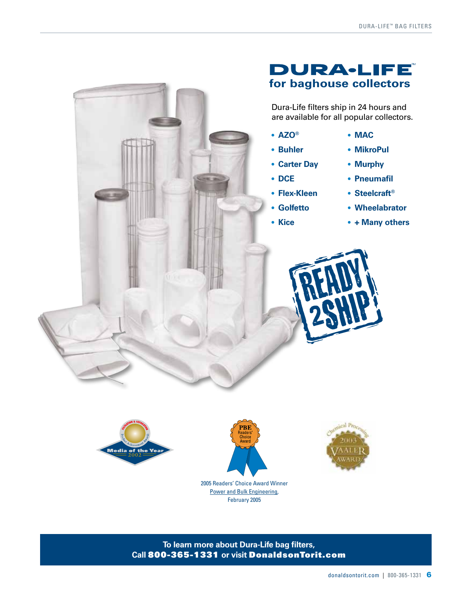### **DURA-LIFE for baghouse collectors**

Dura-Life filters ship in 24 hours and are available for all popular collectors.

- • **AZO®**
- • **Buhler**
- • **Carter Day**
- • **DCE**
- • **Flex-Kleen**
- • **Golfetto**
- • **Kice**
- • **MAC**
- • **MikroPul**
- • **Murphy**
- • **Pneumafil**
- • **Steelcraft®**
- • **Wheelabrator**
- • **+ Many others**





February 2005

**To learn more about Dura-Life bag filters, Call** 800-365-1331 **or visit** DonaldsonTorit.com